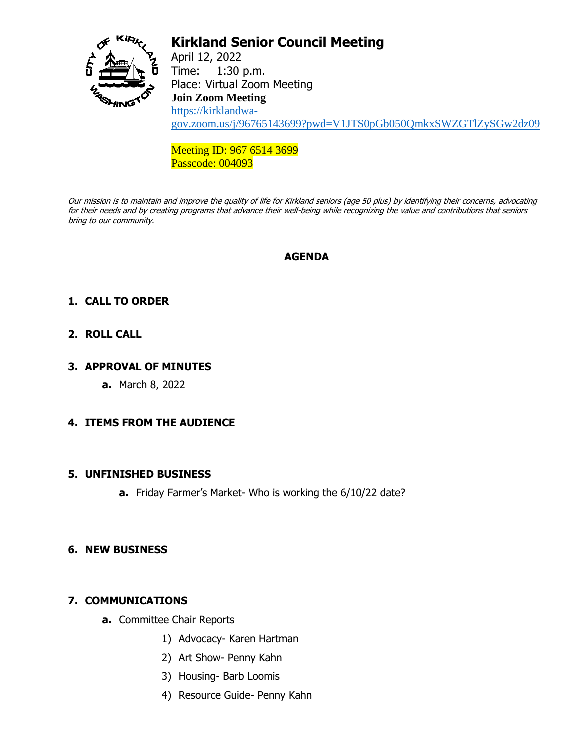

# **Kirkland Senior Council Meeting**

April 12, 2022 Time: 1:30 p.m. Place: Virtual Zoom Meeting **Join Zoom Meeting** [https://kirklandwa](https://kirklandwa-gov.zoom.us/j/96765143699?pwd=V1JTS0pGb050QmkxSWZGTlZySGw2dz09)[gov.zoom.us/j/96765143699?pwd=V1JTS0pGb050QmkxSWZGTlZySGw2dz09](https://kirklandwa-gov.zoom.us/j/96765143699?pwd=V1JTS0pGb050QmkxSWZGTlZySGw2dz09)

Meeting ID: 967 6514 3699 Passcode: 004093

Our mission is to maintain and improve the quality of life for Kirkland seniors (age 50 plus) by identifying their concerns, advocating for their needs and by creating programs that advance their well-being while recognizing the value and contributions that seniors bring to our community.

## **AGENDA**

## **1. CALL TO ORDER**

## **2. ROLL CALL**

#### **3. APPROVAL OF MINUTES**

**a.** March 8, 2022

## **4. ITEMS FROM THE AUDIENCE**

#### **5. UNFINISHED BUSINESS**

**a.** Friday Farmer's Market- Who is working the 6/10/22 date?

#### **6. NEW BUSINESS**

## **7. COMMUNICATIONS**

- **a.** Committee Chair Reports
	- 1) Advocacy- Karen Hartman
	- 2) Art Show- Penny Kahn
	- 3) Housing- Barb Loomis
	- 4) Resource Guide- Penny Kahn